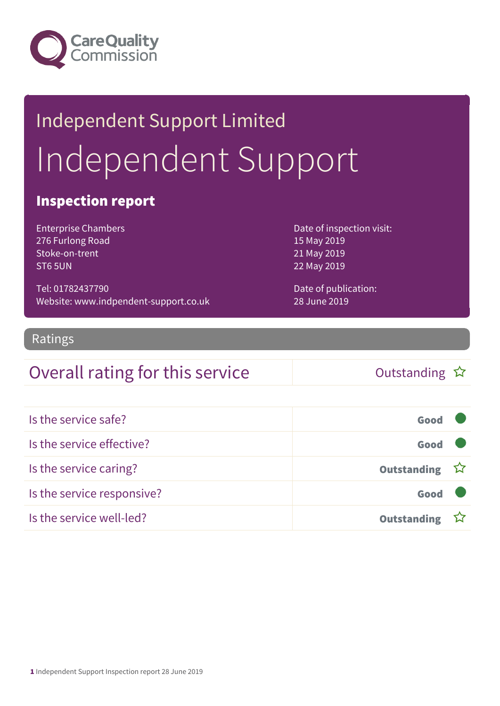

# Independent Support Limited Independent Support

#### Inspection report

Enterprise Chambers 276 Furlong Road Stoke-on-trent ST6 5UN

Tel: 01782437790 Website: www.indpendent-support.co.uk Date of inspection visit: 15 May 2019 21 May 2019 22 May 2019

Date of publication: 28 June 2019

#### Ratings

#### Overall rating for this service  $\Box$  Outstanding  $\hat{x}$

| Is the service safe?       | Good               |  |
|----------------------------|--------------------|--|
| Is the service effective?  | Good               |  |
| Is the service caring?     | Outstanding ☆      |  |
| Is the service responsive? | Good               |  |
| Is the service well-led?   | <b>Outstanding</b> |  |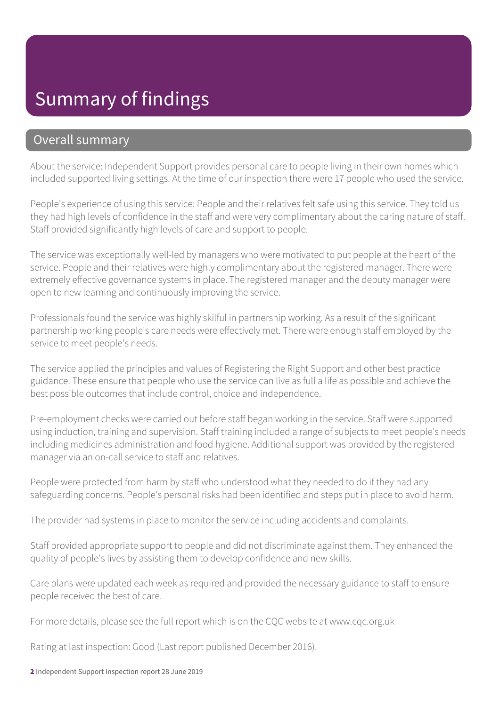#### Summary of findings

#### Overall summary

About the service: Independent Support provides personal care to people living in their own homes which included supported living settings. At the time of our inspection there were 17 people who used the service.

People's experience of using this service: People and their relatives felt safe using this service. They told us they had high levels of confidence in the staff and were very complimentary about the caring nature of staff. Staff provided significantly high levels of care and support to people.

The service was exceptionally well-led by managers who were motivated to put people at the heart of the service. People and their relatives were highly complimentary about the registered manager. There were extremely effective governance systems in place. The registered manager and the deputy manager were open to new learning and continuously improving the service.

Professionals found the service was highly skilful in partnership working. As a result of the significant partnership working people's care needs were effectively met. There were enough staff employed by the service to meet people's needs.

The service applied the principles and values of Registering the Right Support and other best practice guidance. These ensure that people who use the service can live as full a life as possible and achieve the best possible outcomes that include control, choice and independence.

Pre-employment checks were carried out before staff began working in the service. Staff were supported using induction, training and supervision. Staff training included a range of subjects to meet people's needs including medicines administration and food hygiene. Additional support was provided by the registered manager via an on-call service to staff and relatives.

People were protected from harm by staff who understood what they needed to do if they had any safeguarding concerns. People's personal risks had been identified and steps put in place to avoid harm.

The provider had systems in place to monitor the service including accidents and complaints.

Staff provided appropriate support to people and did not discriminate against them. They enhanced the quality of people's lives by assisting them to develop confidence and new skills.

Care plans were updated each week as required and provided the necessary guidance to staff to ensure people received the best of care.

For more details, please see the full report which is on the CQC website at www.cqc.org.uk

Rating at last inspection: Good (Last report published December 2016).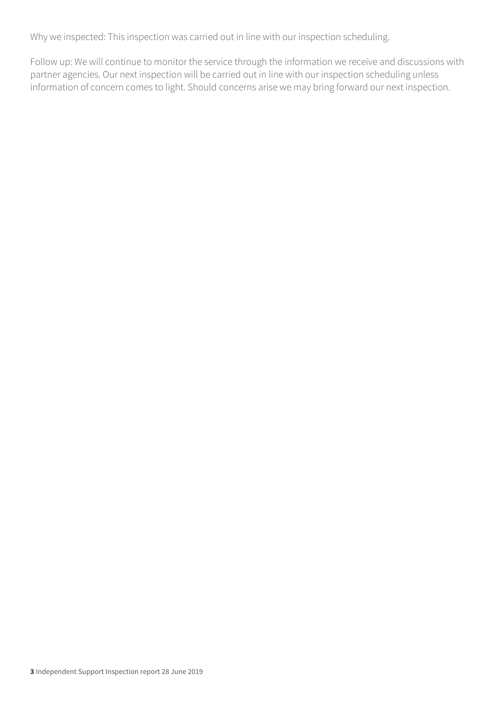Why we inspected: This inspection was carried out in line with our inspection scheduling.

Follow up: We will continue to monitor the service through the information we receive and discussions with partner agencies. Our next inspection will be carried out in line with our inspection scheduling unless information of concern comes to light. Should concerns arise we may bring forward our next inspection.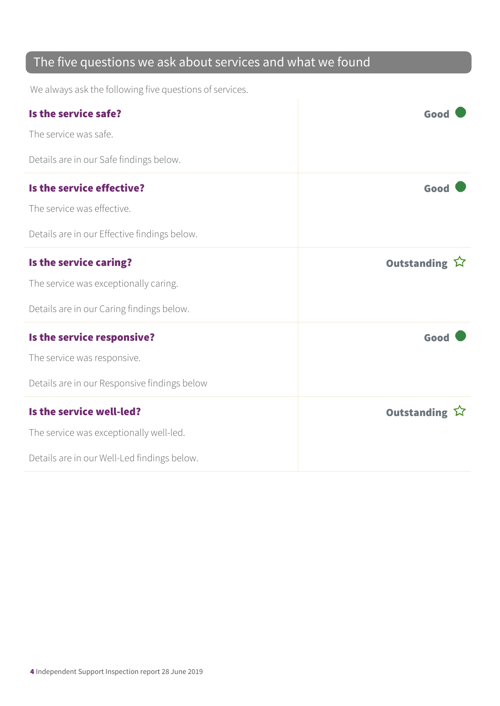#### The five questions we ask about services and what we found

We always ask the following five questions of services.

| Is the service safe?                         | Good          |
|----------------------------------------------|---------------|
| The service was safe.                        |               |
| Details are in our Safe findings below.      |               |
| Is the service effective?                    | Good          |
| The service was effective.                   |               |
| Details are in our Effective findings below. |               |
| Is the service caring?                       | Outstanding ☆ |
| The service was exceptionally caring.        |               |
| Details are in our Caring findings below.    |               |
| Is the service responsive?                   | Good          |
| The service was responsive.                  |               |
| Details are in our Responsive findings below |               |
| Is the service well-led?                     | Outstanding ☆ |
| The service was exceptionally well-led.      |               |
| Details are in our Well-Led findings below.  |               |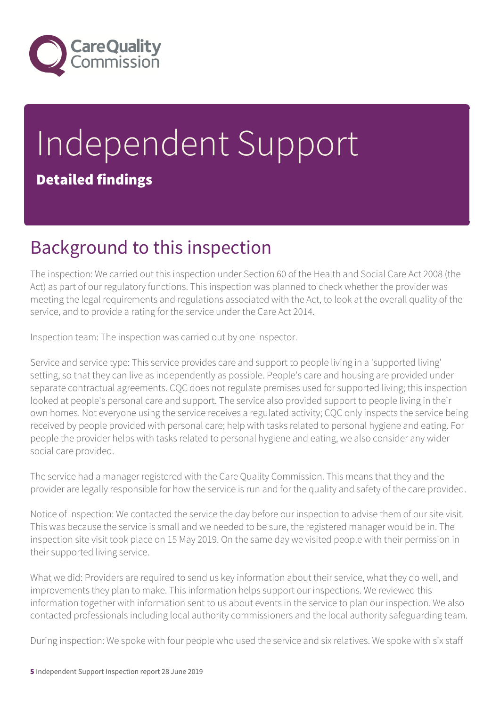

# Independent Support Detailed findings

### Background to this inspection

The inspection: We carried out this inspection under Section 60 of the Health and Social Care Act 2008 (the Act) as part of our regulatory functions. This inspection was planned to check whether the provider was meeting the legal requirements and regulations associated with the Act, to look at the overall quality of the service, and to provide a rating for the service under the Care Act 2014.

Inspection team: The inspection was carried out by one inspector.

Service and service type: This service provides care and support to people living in a 'supported living' setting, so that they can live as independently as possible. People's care and housing are provided under separate contractual agreements. CQC does not regulate premises used for supported living; this inspection looked at people's personal care and support. The service also provided support to people living in their own homes. Not everyone using the service receives a regulated activity; CQC only inspects the service being received by people provided with personal care; help with tasks related to personal hygiene and eating. For people the provider helps with tasks related to personal hygiene and eating, we also consider any wider social care provided.

The service had a manager registered with the Care Quality Commission. This means that they and the provider are legally responsible for how the service is run and for the quality and safety of the care provided.

Notice of inspection: We contacted the service the day before our inspection to advise them of our site visit. This was because the service is small and we needed to be sure, the registered manager would be in. The inspection site visit took place on 15 May 2019. On the same day we visited people with their permission in their supported living service.

What we did: Providers are required to send us key information about their service, what they do well, and improvements they plan to make. This information helps support our inspections. We reviewed this information together with information sent to us about events in the service to plan our inspection. We also contacted professionals including local authority commissioners and the local authority safeguarding team.

During inspection: We spoke with four people who used the service and six relatives. We spoke with six staff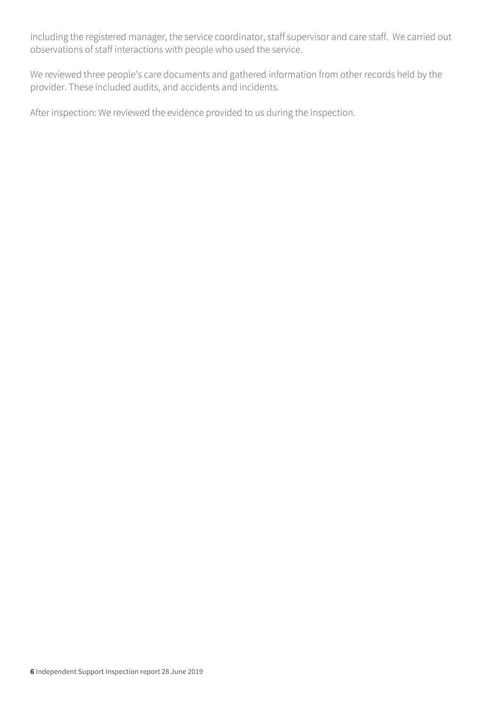including the registered manager, the service coordinator, staff supervisor and care staff. We carried out observations of staff interactions with people who used the service.

We reviewed three people's care documents and gathered information from other records held by the provider. These included audits, and accidents and incidents.

After inspection: We reviewed the evidence provided to us during the inspection.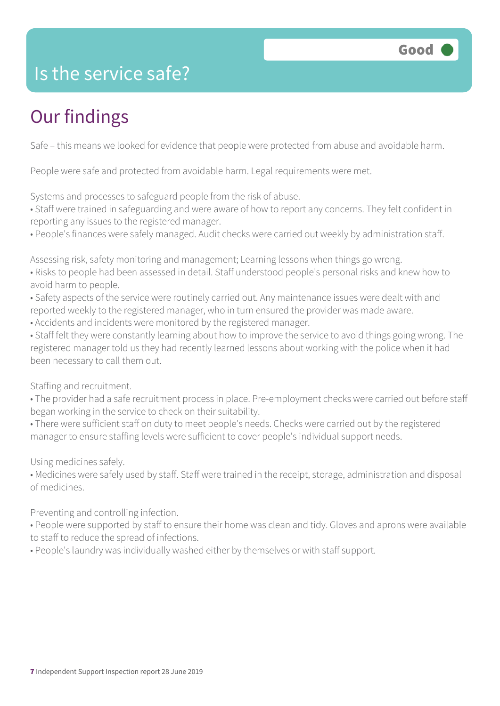

#### Is the service safe?

### Our findings

Safe – this means we looked for evidence that people were protected from abuse and avoidable harm.

People were safe and protected from avoidable harm. Legal requirements were met.

Systems and processes to safeguard people from the risk of abuse.

• Staff were trained in safeguarding and were aware of how to report any concerns. They felt confident in reporting any issues to the registered manager.

• People's finances were safely managed. Audit checks were carried out weekly by administration staff.

Assessing risk, safety monitoring and management; Learning lessons when things go wrong.

• Risks to people had been assessed in detail. Staff understood people's personal risks and knew how to avoid harm to people.

• Safety aspects of the service were routinely carried out. Any maintenance issues were dealt with and reported weekly to the registered manager, who in turn ensured the provider was made aware.

• Accidents and incidents were monitored by the registered manager.

• Staff felt they were constantly learning about how to improve the service to avoid things going wrong. The registered manager told us they had recently learned lessons about working with the police when it had been necessary to call them out.

Staffing and recruitment.

• The provider had a safe recruitment process in place. Pre-employment checks were carried out before staff began working in the service to check on their suitability.

• There were sufficient staff on duty to meet people's needs. Checks were carried out by the registered manager to ensure staffing levels were sufficient to cover people's individual support needs.

Using medicines safely.

• Medicines were safely used by staff. Staff were trained in the receipt, storage, administration and disposal of medicines.

Preventing and controlling infection.

• People were supported by staff to ensure their home was clean and tidy. Gloves and aprons were available to staff to reduce the spread of infections.

• People's laundry was individually washed either by themselves or with staff support.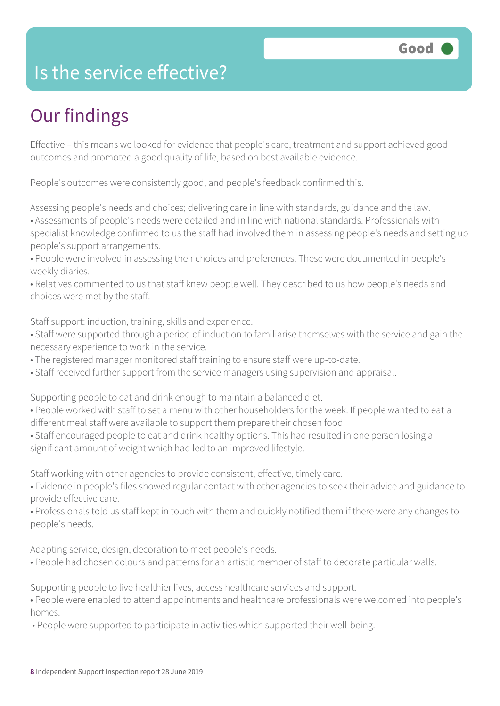#### Is the service effective?

## Our findings

Effective – this means we looked for evidence that people's care, treatment and support achieved good outcomes and promoted a good quality of life, based on best available evidence.

People's outcomes were consistently good, and people's feedback confirmed this.

Assessing people's needs and choices; delivering care in line with standards, guidance and the law. • Assessments of people's needs were detailed and in line with national standards. Professionals with specialist knowledge confirmed to us the staff had involved them in assessing people's needs and setting up people's support arrangements.

• People were involved in assessing their choices and preferences. These were documented in people's weekly diaries.

• Relatives commented to us that staff knew people well. They described to us how people's needs and choices were met by the staff.

Staff support: induction, training, skills and experience.

- Staff were supported through a period of induction to familiarise themselves with the service and gain the necessary experience to work in the service.
- The registered manager monitored staff training to ensure staff were up-to-date.
- Staff received further support from the service managers using supervision and appraisal.

Supporting people to eat and drink enough to maintain a balanced diet.

- People worked with staff to set a menu with other householders for the week. If people wanted to eat a different meal staff were available to support them prepare their chosen food.
- Staff encouraged people to eat and drink healthy options. This had resulted in one person losing a significant amount of weight which had led to an improved lifestyle.

Staff working with other agencies to provide consistent, effective, timely care.

- Evidence in people's files showed regular contact with other agencies to seek their advice and guidance to provide effective care.
- Professionals told us staff kept in touch with them and quickly notified them if there were any changes to people's needs.

Adapting service, design, decoration to meet people's needs.

• People had chosen colours and patterns for an artistic member of staff to decorate particular walls.

Supporting people to live healthier lives, access healthcare services and support.

• People were enabled to attend appointments and healthcare professionals were welcomed into people's homes.

• People were supported to participate in activities which supported their well-being.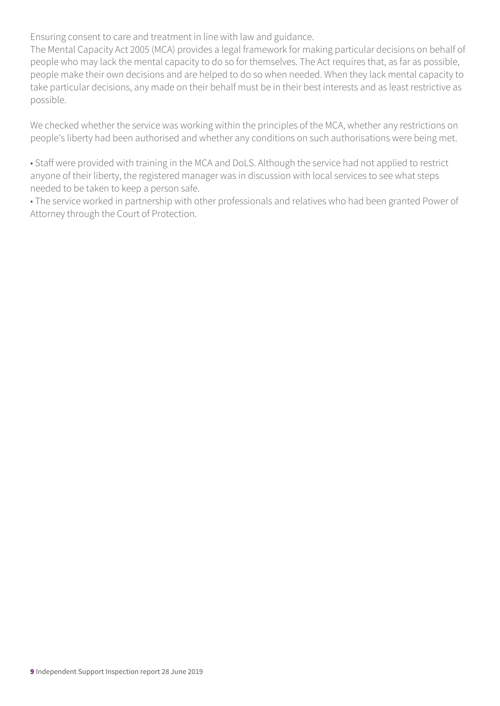Ensuring consent to care and treatment in line with law and guidance.

The Mental Capacity Act 2005 (MCA) provides a legal framework for making particular decisions on behalf of people who may lack the mental capacity to do so for themselves. The Act requires that, as far as possible, people make their own decisions and are helped to do so when needed. When they lack mental capacity to take particular decisions, any made on their behalf must be in their best interests and as least restrictive as possible.

We checked whether the service was working within the principles of the MCA, whether any restrictions on people's liberty had been authorised and whether any conditions on such authorisations were being met.

• Staff were provided with training in the MCA and DoLS. Although the service had not applied to restrict anyone of their liberty, the registered manager was in discussion with local services to see what steps needed to be taken to keep a person safe.

• The service worked in partnership with other professionals and relatives who had been granted Power of Attorney through the Court of Protection.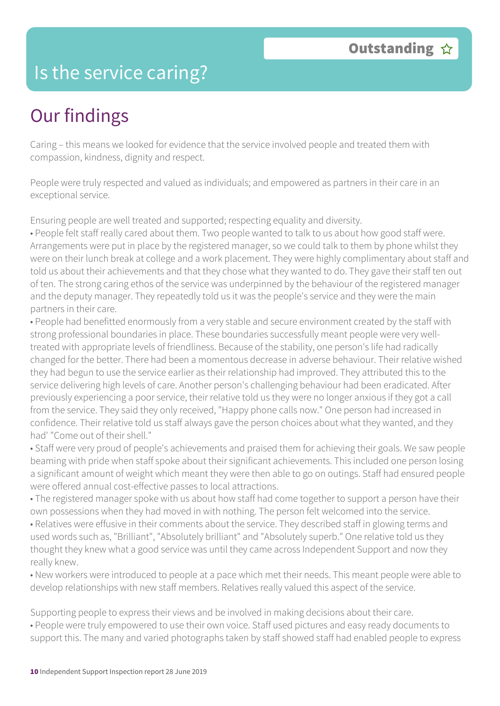#### Is the service caring?

### Our findings

Caring – this means we looked for evidence that the service involved people and treated them with compassion, kindness, dignity and respect.

People were truly respected and valued as individuals; and empowered as partners in their care in an exceptional service.

Ensuring people are well treated and supported; respecting equality and diversity.

• People felt staff really cared about them. Two people wanted to talk to us about how good staff were. Arrangements were put in place by the registered manager, so we could talk to them by phone whilst they were on their lunch break at college and a work placement. They were highly complimentary about staff and told us about their achievements and that they chose what they wanted to do. They gave their staff ten out of ten. The strong caring ethos of the service was underpinned by the behaviour of the registered manager and the deputy manager. They repeatedly told us it was the people's service and they were the main partners in their care.

• People had benefitted enormously from a very stable and secure environment created by the staff with strong professional boundaries in place. These boundaries successfully meant people were very welltreated with appropriate levels of friendliness. Because of the stability, one person's life had radically changed for the better. There had been a momentous decrease in adverse behaviour. Their relative wished they had begun to use the service earlier as their relationship had improved. They attributed this to the service delivering high levels of care. Another person's challenging behaviour had been eradicated. After previously experiencing a poor service, their relative told us they were no longer anxious if they got a call from the service. They said they only received, "Happy phone calls now." One person had increased in confidence. Their relative told us staff always gave the person choices about what they wanted, and they had' "Come out of their shell."

• Staff were very proud of people's achievements and praised them for achieving their goals. We saw people beaming with pride when staff spoke about their significant achievements. This included one person losing a significant amount of weight which meant they were then able to go on outings. Staff had ensured people were offered annual cost-effective passes to local attractions.

• The registered manager spoke with us about how staff had come together to support a person have their own possessions when they had moved in with nothing. The person felt welcomed into the service.

• Relatives were effusive in their comments about the service. They described staff in glowing terms and used words such as, "Brilliant", "Absolutely brilliant" and "Absolutely superb." One relative told us they thought they knew what a good service was until they came across Independent Support and now they really knew.

• New workers were introduced to people at a pace which met their needs. This meant people were able to develop relationships with new staff members. Relatives really valued this aspect of the service.

Supporting people to express their views and be involved in making decisions about their care.

• People were truly empowered to use their own voice. Staff used pictures and easy ready documents to support this. The many and varied photographs taken by staff showed staff had enabled people to express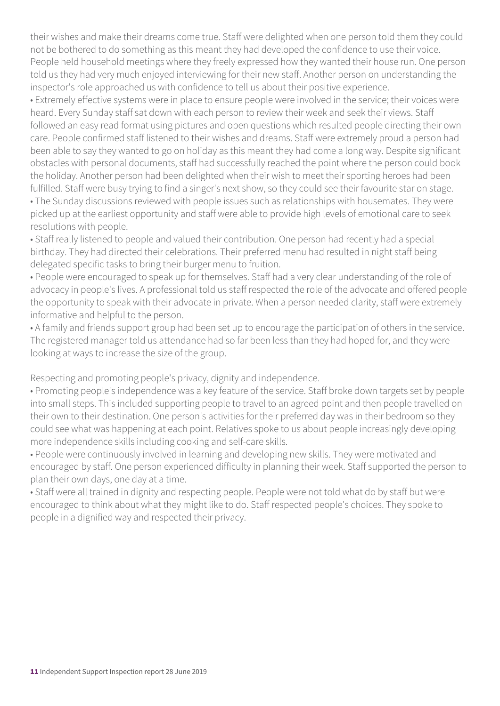their wishes and make their dreams come true. Staff were delighted when one person told them they could not be bothered to do something as this meant they had developed the confidence to use their voice. People held household meetings where they freely expressed how they wanted their house run. One person told us they had very much enjoyed interviewing for their new staff. Another person on understanding the inspector's role approached us with confidence to tell us about their positive experience.

• Extremely effective systems were in place to ensure people were involved in the service; their voices were heard. Every Sunday staff sat down with each person to review their week and seek their views. Staff followed an easy read format using pictures and open questions which resulted people directing their own care. People confirmed staff listened to their wishes and dreams. Staff were extremely proud a person had been able to say they wanted to go on holiday as this meant they had come a long way. Despite significant obstacles with personal documents, staff had successfully reached the point where the person could book the holiday. Another person had been delighted when their wish to meet their sporting heroes had been fulfilled. Staff were busy trying to find a singer's next show, so they could see their favourite star on stage.

• The Sunday discussions reviewed with people issues such as relationships with housemates. They were picked up at the earliest opportunity and staff were able to provide high levels of emotional care to seek resolutions with people.

• Staff really listened to people and valued their contribution. One person had recently had a special birthday. They had directed their celebrations. Their preferred menu had resulted in night staff being delegated specific tasks to bring their burger menu to fruition.

• People were encouraged to speak up for themselves. Staff had a very clear understanding of the role of advocacy in people's lives. A professional told us staff respected the role of the advocate and offered people the opportunity to speak with their advocate in private. When a person needed clarity, staff were extremely informative and helpful to the person.

• A family and friends support group had been set up to encourage the participation of others in the service. The registered manager told us attendance had so far been less than they had hoped for, and they were looking at ways to increase the size of the group.

Respecting and promoting people's privacy, dignity and independence.

• Promoting people's independence was a key feature of the service. Staff broke down targets set by people into small steps. This included supporting people to travel to an agreed point and then people travelled on their own to their destination. One person's activities for their preferred day was in their bedroom so they could see what was happening at each point. Relatives spoke to us about people increasingly developing more independence skills including cooking and self-care skills.

• People were continuously involved in learning and developing new skills. They were motivated and encouraged by staff. One person experienced difficulty in planning their week. Staff supported the person to plan their own days, one day at a time.

• Staff were all trained in dignity and respecting people. People were not told what do by staff but were encouraged to think about what they might like to do. Staff respected people's choices. They spoke to people in a dignified way and respected their privacy.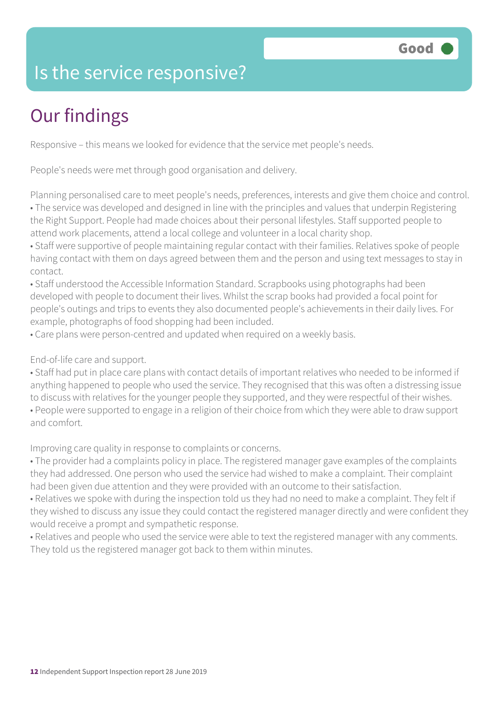#### Is the service responsive?

## Our findings

Responsive – this means we looked for evidence that the service met people's needs.

People's needs were met through good organisation and delivery.

Planning personalised care to meet people's needs, preferences, interests and give them choice and control. • The service was developed and designed in line with the principles and values that underpin Registering the Right Support. People had made choices about their personal lifestyles. Staff supported people to attend work placements, attend a local college and volunteer in a local charity shop.

• Staff were supportive of people maintaining regular contact with their families. Relatives spoke of people having contact with them on days agreed between them and the person and using text messages to stay in contact.

• Staff understood the Accessible Information Standard. Scrapbooks using photographs had been developed with people to document their lives. Whilst the scrap books had provided a focal point for people's outings and trips to events they also documented people's achievements in their daily lives. For example, photographs of food shopping had been included.

• Care plans were person-centred and updated when required on a weekly basis.

End-of-life care and support.

• Staff had put in place care plans with contact details of important relatives who needed to be informed if anything happened to people who used the service. They recognised that this was often a distressing issue to discuss with relatives for the younger people they supported, and they were respectful of their wishes. • People were supported to engage in a religion of their choice from which they were able to draw support and comfort.

Improving care quality in response to complaints or concerns.

• The provider had a complaints policy in place. The registered manager gave examples of the complaints they had addressed. One person who used the service had wished to make a complaint. Their complaint had been given due attention and they were provided with an outcome to their satisfaction.

• Relatives we spoke with during the inspection told us they had no need to make a complaint. They felt if they wished to discuss any issue they could contact the registered manager directly and were confident they would receive a prompt and sympathetic response.

• Relatives and people who used the service were able to text the registered manager with any comments. They told us the registered manager got back to them within minutes.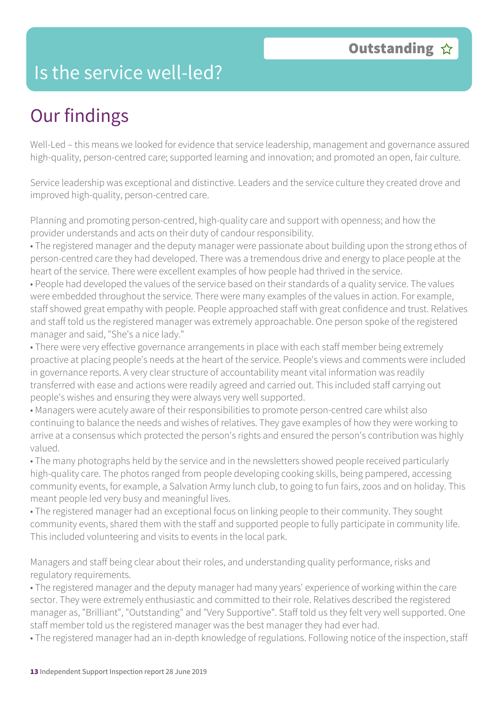#### Is the service well-led?

### Our findings

Well-Led – this means we looked for evidence that service leadership, management and governance assured high-quality, person-centred care; supported learning and innovation; and promoted an open, fair culture.

Service leadership was exceptional and distinctive. Leaders and the service culture they created drove and improved high-quality, person-centred care.

Planning and promoting person-centred, high-quality care and support with openness; and how the provider understands and acts on their duty of candour responsibility.

• The registered manager and the deputy manager were passionate about building upon the strong ethos of person-centred care they had developed. There was a tremendous drive and energy to place people at the heart of the service. There were excellent examples of how people had thrived in the service.

• People had developed the values of the service based on their standards of a quality service. The values were embedded throughout the service. There were many examples of the values in action. For example, staff showed great empathy with people. People approached staff with great confidence and trust. Relatives and staff told us the registered manager was extremely approachable. One person spoke of the registered manager and said, "She's a nice lady."

• There were very effective governance arrangements in place with each staff member being extremely proactive at placing people's needs at the heart of the service. People's views and comments were included in governance reports. A very clear structure of accountability meant vital information was readily transferred with ease and actions were readily agreed and carried out. This included staff carrying out people's wishes and ensuring they were always very well supported.

• Managers were acutely aware of their responsibilities to promote person-centred care whilst also continuing to balance the needs and wishes of relatives. They gave examples of how they were working to arrive at a consensus which protected the person's rights and ensured the person's contribution was highly valued.

• The many photographs held by the service and in the newsletters showed people received particularly high-quality care. The photos ranged from people developing cooking skills, being pampered, accessing community events, for example, a Salvation Army lunch club, to going to fun fairs, zoos and on holiday. This meant people led very busy and meaningful lives.

• The registered manager had an exceptional focus on linking people to their community. They sought community events, shared them with the staff and supported people to fully participate in community life. This included volunteering and visits to events in the local park.

Managers and staff being clear about their roles, and understanding quality performance, risks and regulatory requirements.

• The registered manager and the deputy manager had many years' experience of working within the care sector. They were extremely enthusiastic and committed to their role. Relatives described the registered manager as, "Brilliant", "Outstanding" and "Very Supportive". Staff told us they felt very well supported. One staff member told us the registered manager was the best manager they had ever had.

• The registered manager had an in-depth knowledge of regulations. Following notice of the inspection, staff